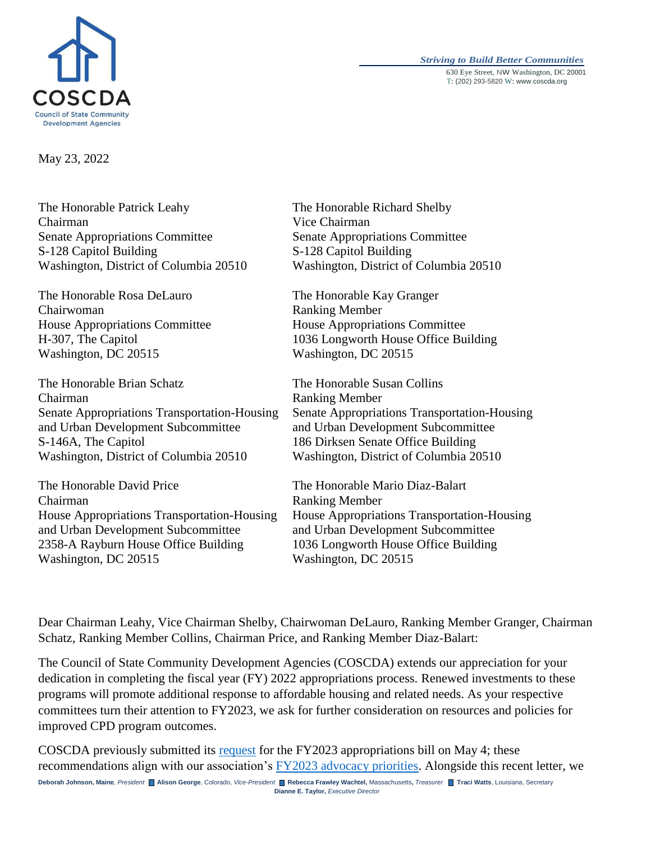

#### *Striving to Build Better Communities* 630 Eye Street, NW Washington, DC 20001 T: (202) 293-5820 W: www.coscda.org

May 23, 2022

The Honorable Patrick Leahy Chairman Senate Appropriations Committee S-128 Capitol Building Washington, District of Columbia 20510

The Honorable Rosa DeLauro Chairwoman House Appropriations Committee H-307, The Capitol Washington, DC 20515

The Honorable Brian Schatz Chairman Senate Appropriations Transportation-Housing and Urban Development Subcommittee S-146A, The Capitol Washington, District of Columbia 20510

The Honorable David Price Chairman House Appropriations Transportation-Housing and Urban Development Subcommittee 2358-A Rayburn House Office Building Washington, DC 20515

The Honorable Richard Shelby Vice Chairman Senate Appropriations Committee S-128 Capitol Building Washington, District of Columbia 20510

The Honorable Kay Granger Ranking Member House Appropriations Committee 1036 Longworth House Office Building Washington, DC 20515

The Honorable Susan Collins Ranking Member Senate Appropriations Transportation-Housing and Urban Development Subcommittee 186 Dirksen Senate Office Building Washington, District of Columbia 20510

The Honorable Mario Diaz-Balart Ranking Member House Appropriations Transportation-Housing and Urban Development Subcommittee 1036 Longworth House Office Building Washington, DC 20515

Dear Chairman Leahy, Vice Chairman Shelby, Chairwoman DeLauro, Ranking Member Granger, Chairman Schatz, Ranking Member Collins, Chairman Price, and Ranking Member Diaz-Balart:

The Council of State Community Development Agencies (COSCDA) extends our appreciation for your dedication in completing the fiscal year (FY) 2022 appropriations process. Renewed investments to these programs will promote additional response to affordable housing and related needs. As your respective committees turn their attention to FY2023, we ask for further consideration on resources and policies for improved CPD program outcomes.

COSCDA previously submitted its [request](https://coscda.org/wp-content/uploads/2022/05/COSCDA-Recommendations-FY2023-Appropriations-May2022FINAL.pdf) for the FY2023 appropriations bill on May 4; these recommendations align with our association's [FY2023 advocacy priorities.](https://coscda.org/advocacy/2023-advocacy-priorities/) Alongside this recent letter, we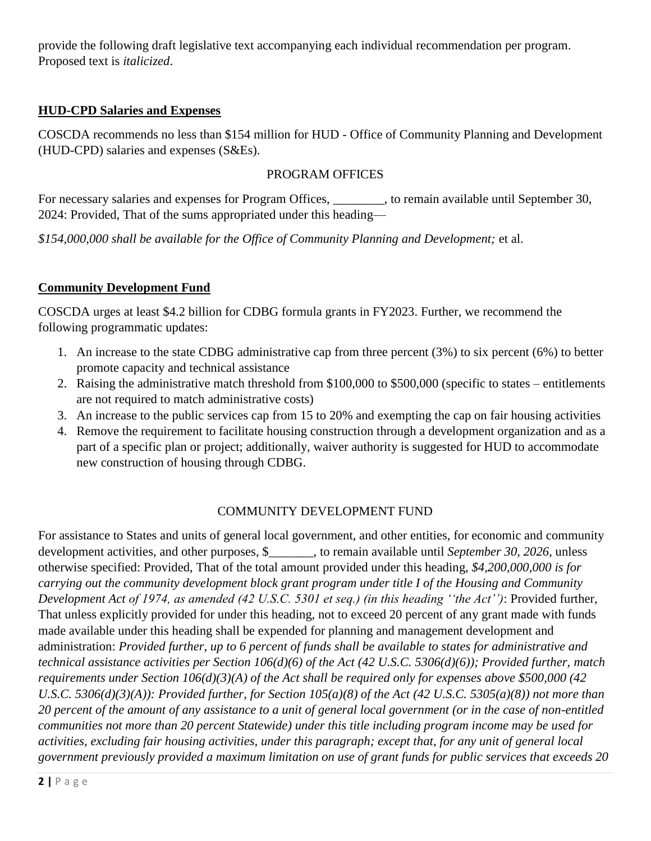provide the following draft legislative text accompanying each individual recommendation per program. Proposed text is *italicized*.

# **HUD-CPD Salaries and Expenses**

COSCDA recommends no less than \$154 million for HUD - Office of Community Planning and Development (HUD-CPD) salaries and expenses (S&Es).

## PROGRAM OFFICES

For necessary salaries and expenses for Program Offices, to remain available until September 30, 2024: Provided, That of the sums appropriated under this heading—

*\$154,000,000 shall be available for the Office of Community Planning and Development;* et al.

## **Community Development Fund**

COSCDA urges at least \$4.2 billion for CDBG formula grants in FY2023. Further, we recommend the following programmatic updates:

- 1. An increase to the state CDBG administrative cap from three percent (3%) to six percent (6%) to better promote capacity and technical assistance
- 2. Raising the administrative match threshold from \$100,000 to \$500,000 (specific to states entitlements are not required to match administrative costs)
- 3. An increase to the public services cap from 15 to 20% and exempting the cap on fair housing activities
- 4. Remove the requirement to facilitate housing construction through a development organization and as a part of a specific plan or project; additionally, waiver authority is suggested for HUD to accommodate new construction of housing through CDBG.

# COMMUNITY DEVELOPMENT FUND

For assistance to States and units of general local government, and other entities, for economic and community development activities, and other purposes, \$\_\_\_\_\_\_\_, to remain available until *September 30, 2026*, unless otherwise specified: Provided, That of the total amount provided under this heading, *\$4,200,000,000 is for carrying out the community development block grant program under title I of the Housing and Community Development Act of 1974, as amended (42 U.S.C. 5301 et seq.) (in this heading ''the Act'')*: Provided further, That unless explicitly provided for under this heading, not to exceed 20 percent of any grant made with funds made available under this heading shall be expended for planning and management development and administration: *Provided further, up to 6 percent of funds shall be available to states for administrative and technical assistance activities per Section 106(d)(6) of the Act (42 U.S.C. 5306(d)(6)); Provided further, match requirements under Section 106(d)(3)(A) of the Act shall be required only for expenses above* \$500,000 (42 *U.S.C. 5306(d)(3)(A)): Provided further, for Section 105(a)(8) of the Act (42 U.S.C. 5305(a)(8)) not more than 20 percent of the amount of any assistance to a unit of general local government (or in the case of non-entitled communities not more than 20 percent Statewide) under this title including program income may be used for activities, excluding fair housing activities, under this paragraph; except that, for any unit of general local government previously provided a maximum limitation on use of grant funds for public services that exceeds 20*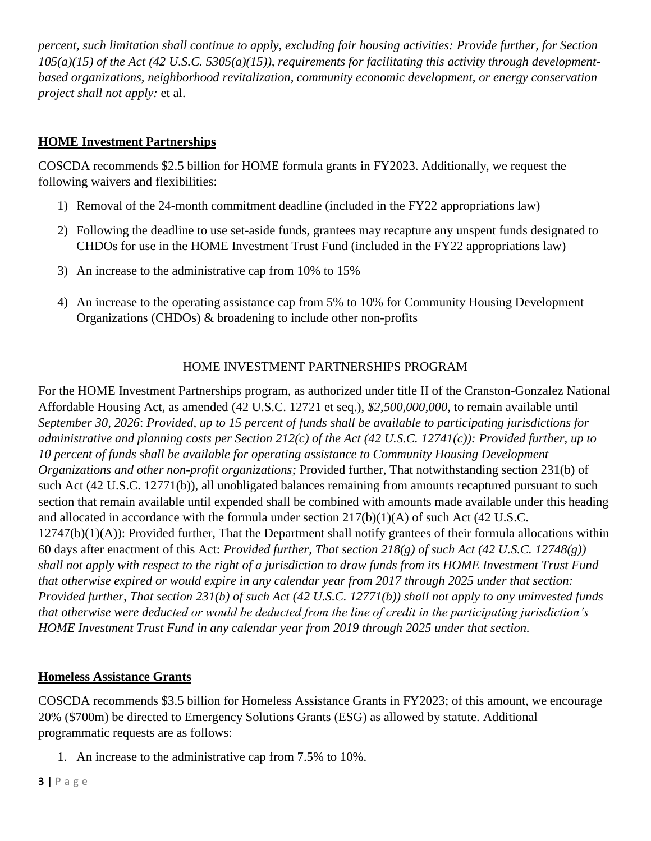*percent, such limitation shall continue to apply, excluding fair housing activities: Provide further, for Section*   $105(a)(15)$  of the Act (42 U.S.C. 5305(a)(15)), requirements for facilitating this activity through development*based organizations, neighborhood revitalization, community economic development, or energy conservation project shall not apply:* et al.

# **HOME Investment Partnerships**

COSCDA recommends \$2.5 billion for HOME formula grants in FY2023. Additionally, we request the following waivers and flexibilities:

- 1) Removal of the 24-month commitment deadline (included in the FY22 appropriations law)
- 2) Following the deadline to use set-aside funds, grantees may recapture any unspent funds designated to CHDOs for use in the HOME Investment Trust Fund (included in the FY22 appropriations law)
- 3) An increase to the administrative cap from 10% to 15%
- 4) An increase to the operating assistance cap from 5% to 10% for Community Housing Development Organizations (CHDOs) & broadening to include other non-profits

## HOME INVESTMENT PARTNERSHIPS PROGRAM

For the HOME Investment Partnerships program, as authorized under title II of the Cranston-Gonzalez National Affordable Housing Act, as amended (42 U.S.C. 12721 et seq.), *\$2,500,000,000*, to remain available until *September 30, 2026*: *Provided, up to 15 percent of funds shall be available to participating jurisdictions for administrative and planning costs per Section 212(c) of the Act (42 U.S.C. 12741(c)): Provided further, up to 10 percent of funds shall be available for operating assistance to Community Housing Development Organizations and other non-profit organizations;* Provided further, That notwithstanding section 231(b) of such Act (42 U.S.C. 12771(b)), all unobligated balances remaining from amounts recaptured pursuant to such section that remain available until expended shall be combined with amounts made available under this heading and allocated in accordance with the formula under section  $217(b)(1)(A)$  of such Act (42 U.S.C.  $12747(b)(1)(A)$ : Provided further, That the Department shall notify grantees of their formula allocations within 60 days after enactment of this Act: *Provided further, That section 218(g) of such Act (42 U.S.C. 12748(g)) shall not apply with respect to the right of a jurisdiction to draw funds from its HOME Investment Trust Fund that otherwise expired or would expire in any calendar year from 2017 through 2025 under that section: Provided further, That section 231(b) of such Act (42 U.S.C. 12771(b)) shall not apply to any uninvested funds that otherwise were deducted or would be deducted from the line of credit in the participating jurisdiction's HOME Investment Trust Fund in any calendar year from 2019 through 2025 under that section.*

## **Homeless Assistance Grants**

COSCDA recommends \$3.5 billion for Homeless Assistance Grants in FY2023; of this amount, we encourage 20% (\$700m) be directed to Emergency Solutions Grants (ESG) as allowed by statute. Additional programmatic requests are as follows:

1. An increase to the administrative cap from 7.5% to 10%.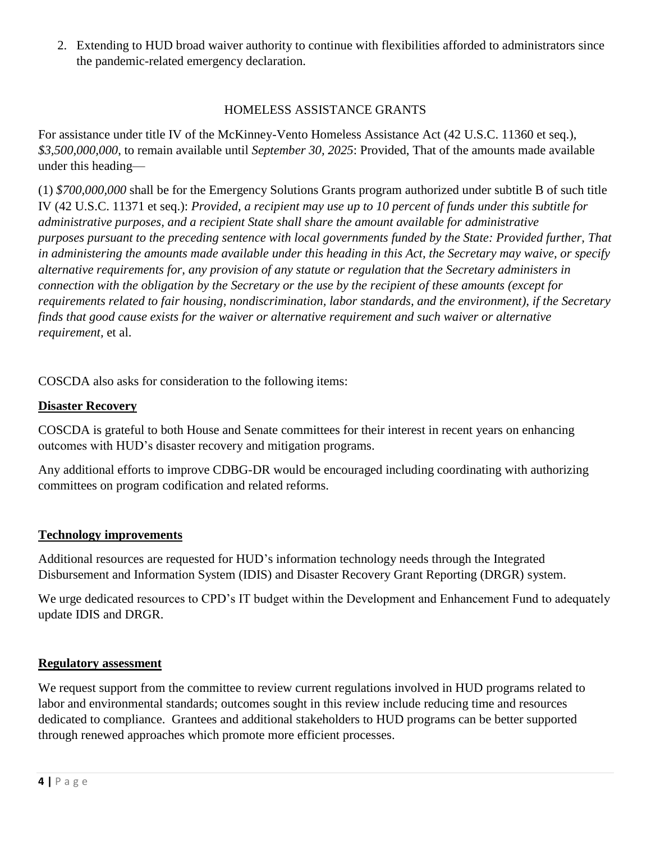2. Extending to HUD broad waiver authority to continue with flexibilities afforded to administrators since the pandemic-related emergency declaration.

## HOMELESS ASSISTANCE GRANTS

For assistance under title IV of the McKinney-Vento Homeless Assistance Act (42 U.S.C. 11360 et seq.), *\$3,500,000,000*, to remain available until *September 30, 2025*: Provided, That of the amounts made available under this heading—

(1) *\$700,000,000* shall be for the Emergency Solutions Grants program authorized under subtitle B of such title IV (42 U.S.C. 11371 et seq.): *Provided, a recipient may use up to 10 percent of funds under this subtitle for administrative purposes, and a recipient State shall share the amount available for administrative purposes pursuant to the preceding sentence with local governments funded by the State: Provided further, That in administering the amounts made available under this heading in this Act, the Secretary may waive, or specify alternative requirements for, any provision of any statute or regulation that the Secretary administers in connection with the obligation by the Secretary or the use by the recipient of these amounts (except for requirements related to fair housing, nondiscrimination, labor standards, and the environment), if the Secretary finds that good cause exists for the waiver or alternative requirement and such waiver or alternative requirement,* et al.

COSCDA also asks for consideration to the following items:

### **Disaster Recovery**

COSCDA is grateful to both House and Senate committees for their interest in recent years on enhancing outcomes with HUD's disaster recovery and mitigation programs.

Any additional efforts to improve CDBG-DR would be encouraged including coordinating with authorizing committees on program codification and related reforms.

#### **Technology improvements**

Additional resources are requested for HUD's information technology needs through the Integrated Disbursement and Information System (IDIS) and Disaster Recovery Grant Reporting (DRGR) system.

We urge dedicated resources to CPD's IT budget within the Development and Enhancement Fund to adequately update IDIS and DRGR.

#### **Regulatory assessment**

We request support from the committee to review current regulations involved in HUD programs related to labor and environmental standards; outcomes sought in this review include reducing time and resources dedicated to compliance. Grantees and additional stakeholders to HUD programs can be better supported through renewed approaches which promote more efficient processes.